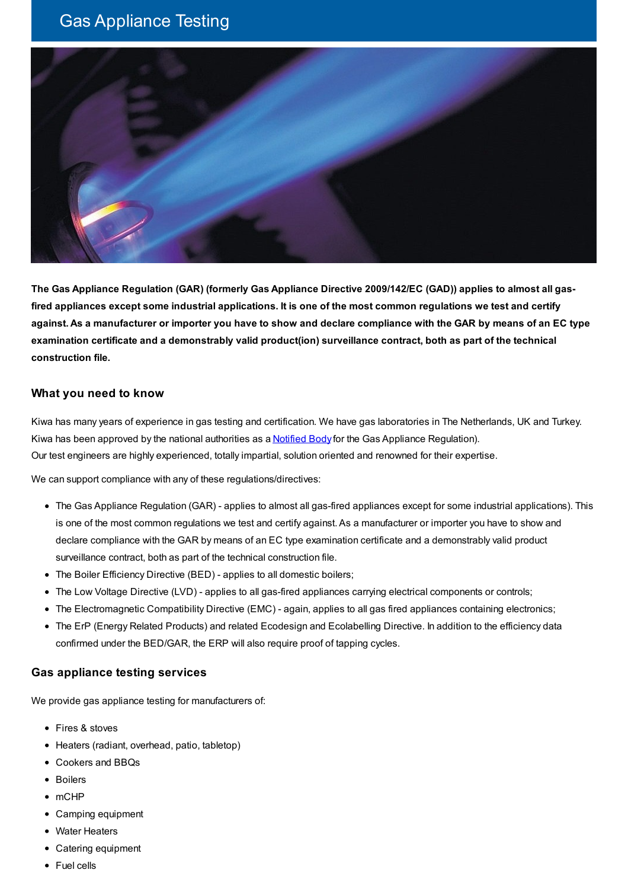# Gas Appliance Testing



The Gas Appliance Regulation (GAR) (formerly Gas Appliance Directive 2009/142/EC (GAD)) applies to almost all gasfired appliances except some industrial applications. It is one of the most common regulations we test and certify against. As a manufacturer or importer you have to show and declare compliance with the GAR by means of an EC type **examination certificate and a demonstrably valid product(ion) surveillance contract, both as part of the technical construction file.**

### **What you need to know**

Kiwa has many years of experience in gas testing and certification. We have gas laboratories in The Netherlands, UK and Turkey. Kiwa has been approved by the national authorities as a **[Notified](https://www.kiwa.com//en/about-kiwa/accreditations-and-notifications/) Body** for the Gas Appliance Regulation). Our test engineers are highly experienced, totally impartial, solution oriented and renowned for their expertise.

We can support compliance with any of these regulations/directives:

- The Gas Appliance Regulation (GAR) applies to almost all gas-fired appliances except for some industrial applications). This is one of the most common regulations we test and certify against. As a manufacturer or importer you have to show and declare compliance with the GAR by means of an EC type examination certificate and a demonstrably valid product surveillance contract, both as part of the technical construction file.
- The Boiler Efficiency Directive (BED) applies to all domestic boilers;
- The Low Voltage Directive (LVD) applies to all gas-fired appliances carrying electrical components or controls;
- The Electromagnetic Compatibility Directive (EMC) again, applies to all gas fired appliances containing electronics;
- The ErP (Energy Related Products) and related Ecodesign and Ecolabelling Directive. In addition to the efficiency data confirmed under the BED/GAR, the ERP will also require proof of tapping cycles.

#### **Gas appliance testing services**

We provide gas appliance testing for manufacturers of:

- Fires & stoves
- Heaters (radiant, overhead, patio, tabletop)
- Cookers and BBQs
- Boilers
- mCHP
- Camping equipment
- Water Heaters
- Catering equipment
- Fuel cells